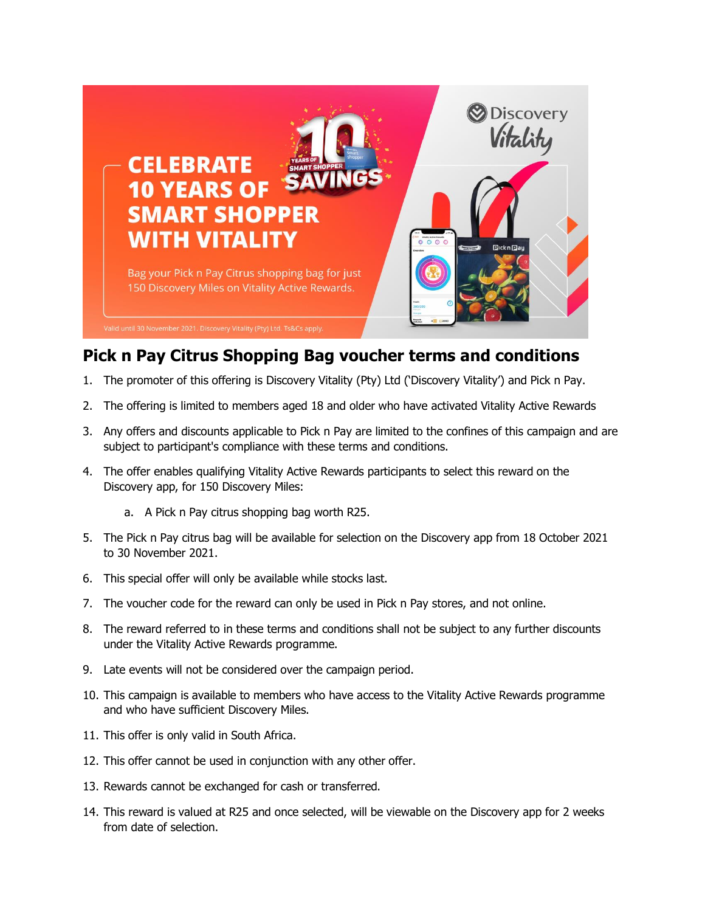

## **Pick n Pay Citrus Shopping Bag voucher terms and conditions**

- 1. The promoter of this offering is Discovery Vitality (Pty) Ltd ('Discovery Vitality') and Pick n Pay.
- 2. The offering is limited to members aged 18 and older who have activated Vitality Active Rewards
- 3. Any offers and discounts applicable to Pick n Pay are limited to the confines of this campaign and are subject to participant's compliance with these terms and conditions.
- 4. The offer enables qualifying Vitality Active Rewards participants to select this reward on the Discovery app, for 150 Discovery Miles:
	- a. A Pick n Pay citrus shopping bag worth R25.
- 5. The Pick n Pay citrus bag will be available for selection on the Discovery app from 18 October 2021 to 30 November 2021.
- 6. This special offer will only be available while stocks last.
- 7. The voucher code for the reward can only be used in Pick n Pay stores, and not online.
- 8. The reward referred to in these terms and conditions shall not be subject to any further discounts under the Vitality Active Rewards programme.
- 9. Late events will not be considered over the campaign period.
- 10. This campaign is available to members who have access to the Vitality Active Rewards programme and who have sufficient Discovery Miles.
- 11. This offer is only valid in South Africa.
- 12. This offer cannot be used in conjunction with any other offer.
- 13. Rewards cannot be exchanged for cash or transferred.
- 14. This reward is valued at R25 and once selected, will be viewable on the Discovery app for 2 weeks from date of selection.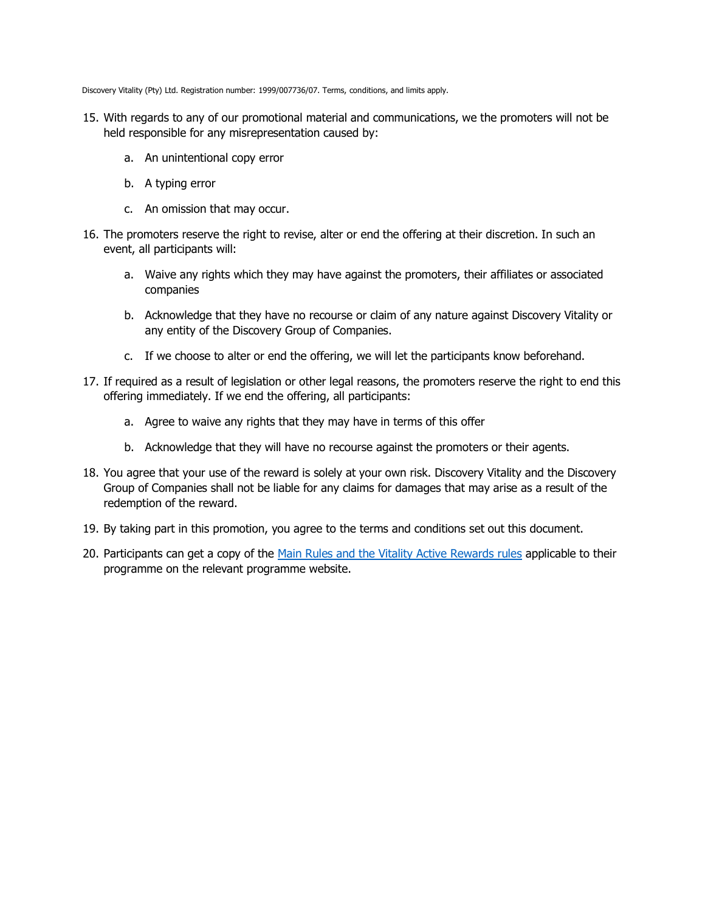Discovery Vitality (Pty) Ltd. Registration number: 1999/007736/07. Terms, conditions, and limits apply.

- 15. With regards to any of our promotional material and communications, we the promoters will not be held responsible for any misrepresentation caused by:
	- a. An unintentional copy error
	- b. A typing error
	- c. An omission that may occur.
- 16. The promoters reserve the right to revise, alter or end the offering at their discretion. In such an event, all participants will:
	- a. Waive any rights which they may have against the promoters, their affiliates or associated companies
	- b. Acknowledge that they have no recourse or claim of any nature against Discovery Vitality or any entity of the Discovery Group of Companies.
	- c. If we choose to alter or end the offering, we will let the participants know beforehand.
- 17. If required as a result of legislation or other legal reasons, the promoters reserve the right to end this offering immediately. If we end the offering, all participants:
	- a. Agree to waive any rights that they may have in terms of this offer
	- b. Acknowledge that they will have no recourse against the promoters or their agents.
- 18. You agree that your use of the reward is solely at your own risk. Discovery Vitality and the Discovery Group of Companies shall not be liable for any claims for damages that may arise as a result of the redemption of the reward.
- 19. By taking part in this promotion, you agree to the terms and conditions set out this document.
- 20. Participants can get a copy of the [Main Rules and the Vitality Active Rewards rules](https://www.discovery.co.za/portal/vitality/product-rules) applicable to their programme on the relevant programme website.